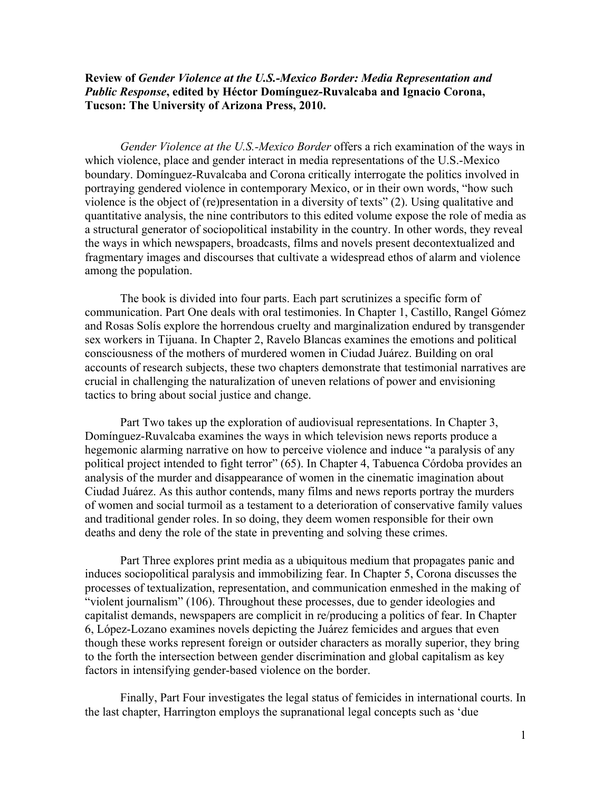## **Review of** *Gender Violence at the U.S.-Mexico Border: Media Representation and Public Response***, edited by Héctor Domínguez-Ruvalcaba and Ignacio Corona, Tucson: The University of Arizona Press, 2010.**

*Gender Violence at the U.S.-Mexico Border* offers a rich examination of the ways in which violence, place and gender interact in media representations of the U.S.-Mexico boundary. Domínguez-Ruvalcaba and Corona critically interrogate the politics involved in portraying gendered violence in contemporary Mexico, or in their own words, "how such violence is the object of (re)presentation in a diversity of texts" (2). Using qualitative and quantitative analysis, the nine contributors to this edited volume expose the role of media as a structural generator of sociopolitical instability in the country. In other words, they reveal the ways in which newspapers, broadcasts, films and novels present decontextualized and fragmentary images and discourses that cultivate a widespread ethos of alarm and violence among the population.

The book is divided into four parts. Each part scrutinizes a specific form of communication. Part One deals with oral testimonies. In Chapter 1, Castillo, Rangel Gómez and Rosas Solís explore the horrendous cruelty and marginalization endured by transgender sex workers in Tijuana. In Chapter 2, Ravelo Blancas examines the emotions and political consciousness of the mothers of murdered women in Ciudad Juárez. Building on oral accounts of research subjects, these two chapters demonstrate that testimonial narratives are crucial in challenging the naturalization of uneven relations of power and envisioning tactics to bring about social justice and change.

Part Two takes up the exploration of audiovisual representations. In Chapter 3, Domínguez-Ruvalcaba examines the ways in which television news reports produce a hegemonic alarming narrative on how to perceive violence and induce "a paralysis of any political project intended to fight terror" (65). In Chapter 4, Tabuenca Córdoba provides an analysis of the murder and disappearance of women in the cinematic imagination about Ciudad Juárez. As this author contends, many films and news reports portray the murders of women and social turmoil as a testament to a deterioration of conservative family values and traditional gender roles. In so doing, they deem women responsible for their own deaths and deny the role of the state in preventing and solving these crimes.

Part Three explores print media as a ubiquitous medium that propagates panic and induces sociopolitical paralysis and immobilizing fear. In Chapter 5, Corona discusses the processes of textualization, representation, and communication enmeshed in the making of "violent journalism" (106). Throughout these processes, due to gender ideologies and capitalist demands, newspapers are complicit in re/producing a politics of fear. In Chapter 6, López-Lozano examines novels depicting the Juárez femicides and argues that even though these works represent foreign or outsider characters as morally superior, they bring to the forth the intersection between gender discrimination and global capitalism as key factors in intensifying gender-based violence on the border.

Finally, Part Four investigates the legal status of femicides in international courts. In the last chapter, Harrington employs the supranational legal concepts such as 'due